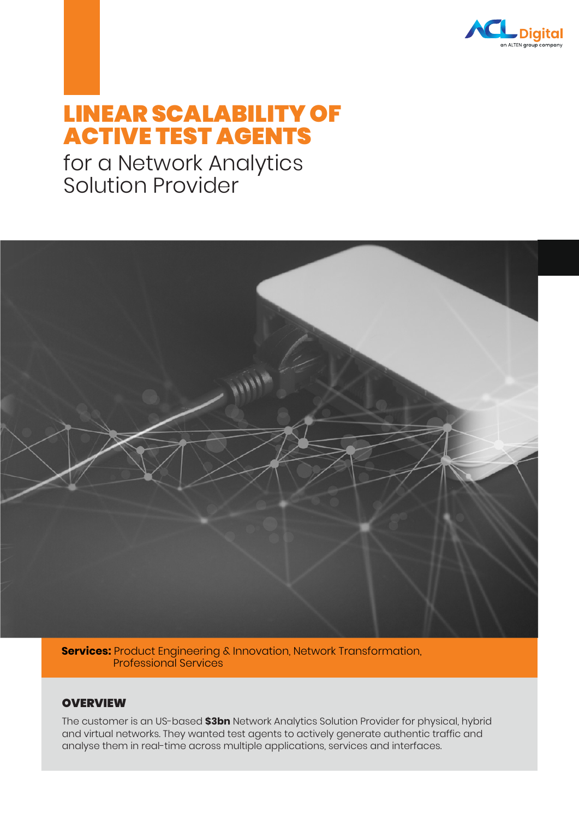

# LINEAR SCALABILITY OF ACTIVE TEST AGENTS

## for a Network Analytics Solution Provider



**Services:** Product Engineering & Innovation, Network Transformation, Professional Services

### **OVERVIEW**

The customer is an US-based **\$3bn** Network Analytics Solution Provider for physical, hybrid and virtual networks. They wanted test agents to actively generate authentic traffic and analyse them in real-time across multiple applications, services and interfaces.